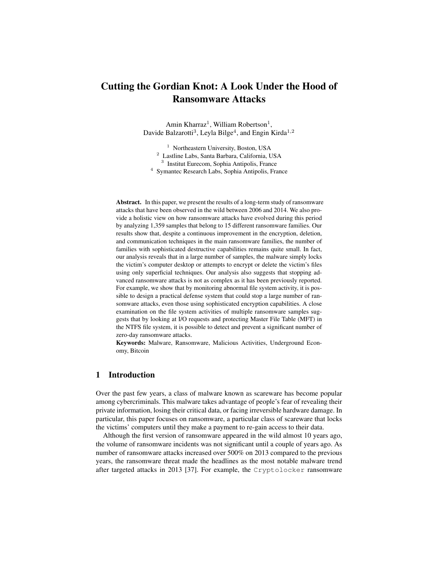# Cutting the Gordian Knot: A Look Under the Hood of Ransomware Attacks

Amin Kharraz<sup>1</sup>, William Robertson<sup>1</sup>, Davide Balzarotti<sup>3</sup>, Leyla Bilge<sup>4</sup>, and Engin Kirda<sup>1,2</sup>

<sup>1</sup> Northeastern University, Boston, USA <sup>2</sup> Lastline Labs, Santa Barbara, California, USA <sup>3</sup> Institut Eurecom, Sophia Antipolis, France 4 Symantec Research Labs, Sophia Antipolis, France

Abstract. In this paper, we present the results of a long-term study of ransomware attacks that have been observed in the wild between 2006 and 2014. We also provide a holistic view on how ransomware attacks have evolved during this period by analyzing 1,359 samples that belong to 15 different ransomware families. Our results show that, despite a continuous improvement in the encryption, deletion, and communication techniques in the main ransomware families, the number of families with sophisticated destructive capabilities remains quite small. In fact, our analysis reveals that in a large number of samples, the malware simply locks the victim's computer desktop or attempts to encrypt or delete the victim's files using only superficial techniques. Our analysis also suggests that stopping advanced ransomware attacks is not as complex as it has been previously reported. For example, we show that by monitoring abnormal file system activity, it is possible to design a practical defense system that could stop a large number of ransomware attacks, even those using sophisticated encryption capabilities. A close examination on the file system activities of multiple ransomware samples suggests that by looking at I/O requests and protecting Master File Table (MFT) in the NTFS file system, it is possible to detect and prevent a significant number of zero-day ransomware attacks.

Keywords: Malware, Ransomware, Malicious Activities, Underground Economy, Bitcoin

# 1 Introduction

Over the past few years, a class of malware known as scareware has become popular among cybercriminals. This malware takes advantage of people's fear of revealing their private information, losing their critical data, or facing irreversible hardware damage. In particular, this paper focuses on ransomware, a particular class of scareware that locks the victims' computers until they make a payment to re-gain access to their data.

Although the first version of ransomware appeared in the wild almost 10 years ago, the volume of ransomware incidents was not significant until a couple of years ago. As number of ransomware attacks increased over 500% on 2013 compared to the previous years, the ransomware threat made the headlines as the most notable malware trend after targeted attacks in 2013 [\[37](#page-19-0)]. For example, the Cryptolocker ransomware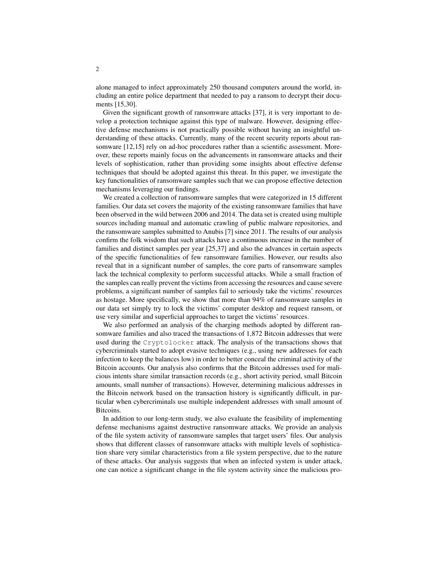alone managed to infect approximately 250 thousand computers around the world, including an entire police department that needed to pay a ransom to decrypt their documents [\[15](#page-18-0),[30\]](#page-19-1).

Given the significant growth of ransomware attacks [\[37](#page-19-0)], it is very important to develop a protection technique against this type of malware. However, designing effective defense mechanisms is not practically possible without having an insightful understanding of these attacks. Currently, many of the recent security reports about ransomware [[12](#page-18-1)[,15](#page-18-0)] rely on ad-hoc procedures rather than a scientific assessment. Moreover, these reports mainly focus on the advancements in ransomware attacks and their levels of sophistication, rather than providing some insights about effective defense techniques that should be adopted against this threat. In this paper, we investigate the key functionalities of ransomware samples such that we can propose effective detection mechanisms leveraging our findings.

We created a collection of ransomware samples that were categorized in 15 different families. Our data set covers the majority of the existing ransomware families that have been observed in the wild between 2006 and 2014. The data set is created using multiple sources including manual and automatic crawling of public malware repositories, and the ransomware samples submitted to Anubis [\[7](#page-18-2)] since 2011. The results of our analysis confirm the folk wisdom that such attacks have a continuous increase in the number of families and distinct samples per year [[25,](#page-18-3)[37](#page-19-0)] and also the advances in certain aspects of the specific functionalities of few ransomware families. However, our results also reveal that in a significant number of samples, the core parts of ransomware samples lack the technical complexity to perform successful attacks. While a small fraction of the samples can really prevent the victims from accessing the resources and cause severe problems, a significant number of samples fail to seriously take the victims' resources as hostage. More specifically, we show that more than 94% of ransomware samples in our data set simply try to lock the victims' computer desktop and request ransom, or use very similar and superficial approaches to target the victims' resources.

We also performed an analysis of the charging methods adopted by different ransomware families and also traced the transactions of 1,872 Bitcoin addresses that were used during the Cryptolocker attack. The analysis of the transactions shows that cybercriminals started to adopt evasive techniques (e.g., using new addresses for each infection to keep the balances low) in order to better conceal the criminal activity of the Bitcoin accounts. Our analysis also confirms that the Bitcoin addresses used for malicious intents share similar transaction records (e.g., short activity period, small Bitcoin amounts, small number of transactions). However, determining malicious addresses in the Bitcoin network based on the transaction history is significantly difficult, in particular when cybercriminals use multiple independent addresses with small amount of Bitcoins.

In addition to our long-term study, we also evaluate the feasibility of implementing defense mechanisms against destructive ransomware attacks. We provide an analysis of the file system activity of ransomware samples that target users' files. Our analysis shows that different classes of ransomware attacks with multiple levels of sophistication share very similar characteristics from a file system perspective, due to the nature of these attacks. Our analysis suggests that when an infected system is under attack, one can notice a significant change in the file system activity since the malicious pro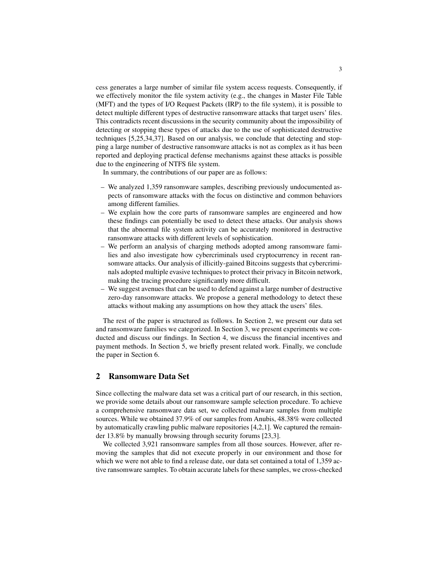cess generates a large number of similar file system access requests. Consequently, if we effectively monitor the file system activity (e.g., the changes in Master File Table (MFT) and the types of I/O Request Packets (IRP) to the file system), it is possible to detect multiple different types of destructive ransomware attacks that target users' files. This contradicts recent discussions in the security community about the impossibility of detecting or stopping these types of attacks due to the use of sophisticated destructive techniques [[5](#page-17-0)[,25](#page-18-3),[34](#page-19-2)[,37](#page-19-0)]. Based on our analysis, we conclude that detecting and stopping a large number of destructive ransomware attacks is not as complex as it has been reported and deploying practical defense mechanisms against these attacks is possible due to the engineering of NTFS file system.

In summary, the contributions of our paper are as follows:

- We analyzed 1,359 ransomware samples, describing previously undocumented aspects of ransomware attacks with the focus on distinctive and common behaviors among different families.
- We explain how the core parts of ransomware samples are engineered and how these findings can potentially be used to detect these attacks. Our analysis shows that the abnormal file system activity can be accurately monitored in destructive ransomware attacks with different levels of sophistication.
- We perform an analysis of charging methods adopted among ransomware families and also investigate how cybercriminals used cryptocurrency in recent ransomware attacks. Our analysis of illicitly-gained Bitcoins suggests that cybercriminals adopted multiple evasive techniques to protect their privacy in Bitcoin network, making the tracing procedure significantly more difficult.
- We suggest avenues that can be used to defend against a large number of destructive zero-day ransomware attacks. We propose a general methodology to detect these attacks without making any assumptions on how they attack the users' files.

The rest of the paper is structured as follows. In Section [2](#page-2-0), we present our data set and ransomware families we categorized. In Section [3,](#page-4-0) we present experiments we conducted and discuss our findings. In Section [4,](#page-12-0) we discuss the financial incentives and payment methods. In Section [5](#page-16-0), we briefly present related work. Finally, we conclude the paper in Section [6.](#page-17-1)

# <span id="page-2-0"></span>2 Ransomware Data Set

Since collecting the malware data set was a critical part of our research, in this section, we provide some details about our ransomware sample selection procedure. To achieve a comprehensive ransomware data set, we collected malware samples from multiple sources. While we obtained 37.9% of our samples from Anubis, 48.38% were collected by automatically crawling public malware repositories [[4,](#page-17-2)[2](#page-17-3),[1\]](#page-17-4). We captured the remainder 13.8% by manually browsing through security forums [\[23](#page-18-4),[3\]](#page-17-5).

We collected 3,921 ransomware samples from all those sources. However, after removing the samples that did not execute properly in our environment and those for which we were not able to find a release date, our data set contained a total of 1,359 active ransomware samples. To obtain accurate labels for these samples, we cross-checked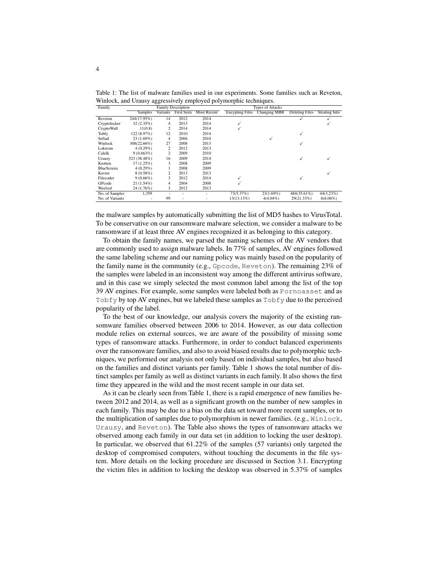| Family          | <b>Family Description</b> |                 |                   | <b>Types of Attacks</b> |                        |                     |                       |               |
|-----------------|---------------------------|-----------------|-------------------|-------------------------|------------------------|---------------------|-----------------------|---------------|
|                 | Samples                   | <b>Variants</b> | <b>First Seen</b> | <b>Most Recent</b>      | <b>Encypting Files</b> | <b>Changing MBR</b> | <b>Deleting Files</b> | Stealing Info |
| Reveton         | 244(17.95%)               | 14              | 2012              | 2014                    |                        |                     |                       |               |
| Cryptolocker    | 32(2.35%)                 | 4               | 2013              | 2014                    |                        |                     |                       |               |
| CryptoWall      | 11(0.8)                   | 2               | 2014              | 2014                    |                        |                     |                       |               |
| Tobfy           | 122 (8.97%)               | 12              | 2010              | 2014                    |                        |                     | ✓                     |               |
| Seftad          | 23(1.69%)                 | 4               | 2006              | 2010                    |                        |                     |                       |               |
| Winlock         | 308(22.66%)               | 27              | 2008              | 2013                    |                        |                     |                       |               |
| Loktrom         | 4(0.29%)                  | 2               | 2012              | 2013                    |                        |                     |                       |               |
| Calelk          | 9(0.663%)                 | $\overline{c}$  | 2009              | 2010                    |                        |                     |                       |               |
| Urausy          | 523 (38.48%)              | 16              | 2009              | 2014                    |                        |                     |                       |               |
| Krotten         | 17(1.25%)                 | 3               | 2008              | 2009                    |                        |                     |                       |               |
| BlueScreen      | 4(0.29%)                  |                 | 2008              | 2009                    |                        |                     |                       |               |
| Kovter          | 8(0.58%)                  | $\overline{c}$  | 2013              | 2013                    |                        |                     |                       | √             |
| Filecoder       | $9(0.66\%)$               | 3               | 2012              | 2014                    |                        |                     | ✓                     |               |
| GPcode          | 21(1.54%)                 | 4               | 2004              | 2008                    |                        |                     |                       |               |
| Weelsof         | 24 (1.76%)                | 3               | 2012              | 2013                    |                        |                     |                       |               |
| No. of Samples  | 1,359                     |                 |                   |                         | 73(5.37%)              | 23(1.69%)           | 484(35.61%)           | 44(3.23%)     |
| No. of Variants |                           | 99              | ٠                 |                         | 13(13.13%)             | $4(4.04\%)$         | 29(21.33%)            | $6(6.06\%)$   |

<span id="page-3-0"></span>Table 1: The list of malware families used in our experiments. Some families such as Reveton, Winlock, and Urausy aggressively employed polymorphic techniques.

the malware samples by automatically submitting the list of MD5 hashes to VirusTotal. To be conservative on our ransomware malware selection, we consider a malware to be ransomware if at least three AV engines recognized it as belonging to this category.

To obtain the family names, we parsed the naming schemes of the AV vendors that are commonly used to assign malware labels. In 77% of samples, AV engines followed the same labeling scheme and our naming policy was mainly based on the popularity of the family name in the community (e.g., Gpcode, Reveton). The remaining 23% of the samples were labeled in an inconsistent way among the different antivirus software, and in this case we simply selected the most common label among the list of the top 39 AV engines. For example, some samples were labeled both as Pornoasset and as Tobfy by top AV engines, but we labeled these samples as  $T<sub>obj</sub>$  due to the perceived popularity of the label.

To the best of our knowledge, our analysis covers the majority of the existing ransomware families observed between 2006 to 2014. However, as our data collection module relies on external sources, we are aware of the possibility of missing some types of ransomware attacks. Furthermore, in order to conduct balanced experiments over the ransomware families, and also to avoid biased results due to polymorphic techniques, we performed our analysis not only based on individual samples, but also based on the families and distinct variants per family. Table [1](#page-3-0) shows the total number of distinct samples per family as well as distinct variants in each family. It also shows the first time they appeared in the wild and the most recent sample in our data set.

As it can be clearly seen from Table [1,](#page-3-0) there is a rapid emergence of new families between 2012 and 2014, as well as a significant growth on the number of new samples in each family. This may be due to a bias on the data set toward more recent samples, or to the multiplication of samples due to polymorphism in newer families. (e.g., Winlock, Urausy, and Reveton). The Table also shows the types of ransomware attacks we observed among each family in our data set (in addition to locking the user desktop). In particular, we observed that 61.22% of the samples (57 variants) only targeted the desktop of compromised computers, without touching the documents in the file system. More details on the locking procedure are discussed in Section [3.1](#page-10-0). Encrypting the victim files in addition to locking the desktop was observed in 5.37% of samples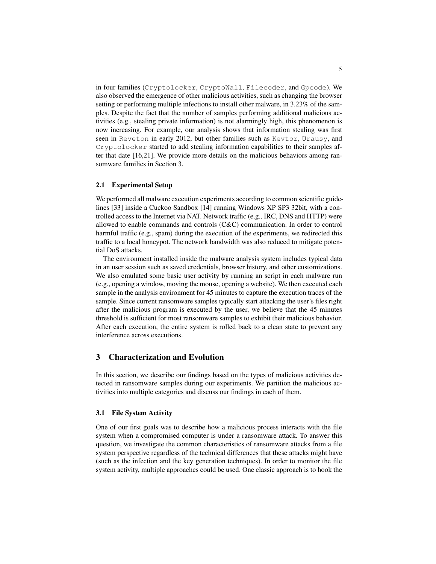in four families (Cryptolocker, CryptoWall, Filecoder, and Gpcode). We also observed the emergence of other malicious activities, such as changing the browser setting or performing multiple infections to install other malware, in 3.23% of the samples. Despite the fact that the number of samples performing additional malicious activities (e.g., stealing private information) is not alarmingly high, this phenomenon is now increasing. For example, our analysis shows that information stealing was first seen in Reveton in early 2012, but other families such as Kevtor, Urausy, and Cryptolocker started to add stealing information capabilities to their samples after that date [\[16](#page-18-5),[21\]](#page-18-6). We provide more details on the malicious behaviors among ransomware families in Section [3](#page-4-0).

### 2.1 Experimental Setup

We performed all malware execution experiments according to common scientific guidelines [[33\]](#page-19-3) inside a Cuckoo Sandbox [\[14](#page-18-7)] running Windows XP SP3 32bit, with a controlled access to the Internet via NAT. Network traffic (e.g., IRC, DNS and HTTP) were allowed to enable commands and controls (C&C) communication. In order to control harmful traffic (e.g., spam) during the execution of the experiments, we redirected this traffic to a local honeypot. The network bandwidth was also reduced to mitigate potential DoS attacks.

The environment installed inside the malware analysis system includes typical data in an user session such as saved credentials, browser history, and other customizations. We also emulated some basic user activity by running an script in each malware run (e.g., opening a window, moving the mouse, opening a website). We then executed each sample in the analysis environment for 45 minutes to capture the execution traces of the sample. Since current ransomware samples typically start attacking the user's files right after the malicious program is executed by the user, we believe that the 45 minutes threshold is sufficient for most ransomware samples to exhibit their malicious behavior. After each execution, the entire system is rolled back to a clean state to prevent any interference across executions.

### <span id="page-4-0"></span>3 Characterization and Evolution

In this section, we describe our findings based on the types of malicious activities detected in ransomware samples during our experiments. We partition the malicious activities into multiple categories and discuss our findings in each of them.

#### <span id="page-4-1"></span>3.1 File System Activity

One of our first goals was to describe how a malicious process interacts with the file system when a compromised computer is under a ransomware attack. To answer this question, we investigate the common characteristics of ransomware attacks from a file system perspective regardless of the technical differences that these attacks might have (such as the infection and the key generation techniques). In order to monitor the file system activity, multiple approaches could be used. One classic approach is to hook the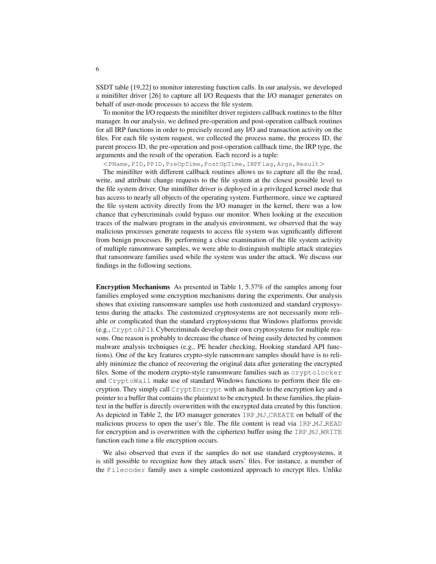SSDT table [[19,](#page-18-8)[22](#page-18-9)] to monitor interesting function calls. In our analysis, we developed a minifilter driver [[26\]](#page-18-10) to capture all I/O Requests that the I/O manager generates on behalf of user-mode processes to access the file system.

To monitor the I/O requests the minifilter driver registers callback routines to the filter manager. In our analysis, we defined pre-operation and post-operation callback routines for all IRP functions in order to precisely record any I/O and transaction activity on the files. For each file system request, we collected the process name, the process ID, the parent process ID, the pre-operation and post-operation callback time, the IRP type, the arguments and the result of the operation. Each record is a tuple:

*<*PName,PID,PPID,PreOpTime,PostOpTime,IRPFlag,Args,Result*>*

The minifilter with different callback routines allows us to capture all the the read, write, and attribute change requests to the file system at the closest possible level to the file system driver. Our minifilter driver is deployed in a privileged kernel mode that has access to nearly all objects of the operating system. Furthermore, since we captured the file system activity directly from the I/O manager in the kernel, there was a low chance that cybercriminals could bypass our monitor. When looking at the execution traces of the malware program in the analysis environment, we observed that the way malicious processes generate requests to access file system was significantly different from benign processes. By performing a close examination of the file system activity of multiple ransomware samples, we were able to distinguish multiple attack strategies that ransomware families used while the system was under the attack. We discuss our findings in the following sections.

Encryption Mechanisms As presented in Table [1](#page-3-0), 5.37% of the samples among four families employed some encryption mechanisms during the experiments. Our analysis shows that existing ransomware samples use both customized and standard cryptosystems during the attacks. The customized cryptosystems are not necessarily more reliable or complicated than the standard cryptosystems that Windows platforms provide (e.g., CryptoAPI). Cybercriminals develop their own cryptosystems for multiple reasons. One reason is probably to decrease the chance of being easily detected by common malware analysis techniques (e.g., PE header checking, Hooking standard API functions). One of the key features crypto-style ransomware samples should have is to reliably minimize the chance of recovering the original data after generating the encrypted files. Some of the modern crypto-style ransomware families such as cryptolocker and CryptoWall make use of standard Windows functions to perform their file encryption. They simply call CryptEncrypt with an handle to the encryption key and a pointer to a buffer that contains the plaintext to be encrypted. In these families, the plaintext in the buffer is directly overwritten with the encrypted data created by this function. As depicted in Table [2,](#page-6-0) the I/O manager generates IRP MJ CREATE on behalf of the malicious process to open the user's file. The file content is read via IRP MJ READ for encryption and is overwritten with the ciphertext buffer using the IRP MJ WRITE function each time a file encryption occurs.

We also observed that even if the samples do not use standard cryptosystems, it is still possible to recognize how they attack users' files. For instance, a member of the Filecoder family uses a simple customized approach to encrypt files. Unlike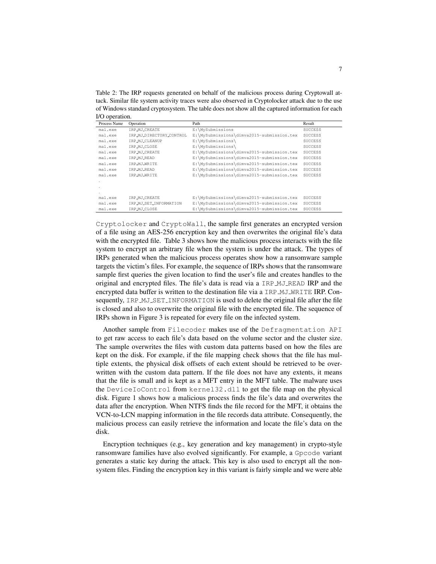<span id="page-6-0"></span>Table 2: The IRP requests generated on behalf of the malicious process during Cryptowall attack. Similar file system activity traces were also observed in Cryptolocker attack due to the use of Windows standard cryptosystem. The table does not show all the captured information for each I/O operation.

| Process Name | Operation                | Path                                      | Result         |
|--------------|--------------------------|-------------------------------------------|----------------|
| mal.exe      | IRP_MJ_CREATE            | E:\MySubmissions                          | <b>SUCCESS</b> |
| mal.exe      | IRP_MJ_DIRECTORY_CONTROL | E:\MySubmissions\dimva2015-submission.tex | <b>SUCCESS</b> |
| mal.exe      | IRP_MJ_CLEANUP           | E:\MySubmissions\                         | <b>SUCCESS</b> |
| mal.exe      | IRP_MJ_CLOSE             | E:\MySubmissions\                         | <b>SUCCESS</b> |
| mal.exe      | IRP_MJ_CREATE            | E:\MySubmissions\dimva2015-submission.tex | <b>SUCCESS</b> |
| mal.exe      | IRP_MJ_READ              | E:\MySubmissions\dimva2015-submission.tex | <b>SUCCESS</b> |
| mal.exe      | IRP_MJ_WRITE             | E:\MySubmissions\dimva2015-submission.tex | <b>SUCCESS</b> |
| mal.exe      | IRP_MJ_READ              | E:\MySubmissions\dimva2015-submission.tex | <b>SUCCESS</b> |
| mal.exe      | IRP_MJ_WRITE             | E:\MySubmissions\dimva2015-submission.tex | <b>SUCCESS</b> |
|              |                          |                                           |                |
|              |                          |                                           |                |
|              |                          |                                           |                |
| mal.exe      | IRP_MJ_CREATE            | E:\MySubmissions\dimva2015-submission.tex | <b>SUCCESS</b> |
| mal.exe      | IRP_MJ_SET_INFORMATION   | E:\MySubmissions\dimva2015-submission.tex | <b>SUCCESS</b> |
| mal.exe      | IRP_MJ_CLOSE             | E:\MySubmissions\dimva2015-submission.tex | <b>SUCCESS</b> |

Cryptolocker and CryptoWall, the sample first generates an encrypted version of a file using an AES-256 encryption key and then overwrites the original file's data with the encrypted file. Table [3](#page-7-0) shows how the malicious process interacts with the file system to encrypt an arbitrary file when the system is under the attack. The types of IRPs generated when the malicious process operates show how a ransomware sample targets the victim's files. For example, the sequence of IRPs shows that the ransomware sample first queries the given location to find the user's file and creates handles to the original and encrypted files. The file's data is read via a IRP MJ READ IRP and the encrypted data buffer is written to the destination file via a IRP MJ WRITE IRP. Consequently, IRP MJ SET INFORMATION is used to delete the original file after the file is closed and also to overwrite the original file with the encrypted file. The sequence of IRPs shown in Figure [3](#page-7-0) is repeated for every file on the infected system.

Another sample from Filecoder makes use of the Defragmentation API to get raw access to each file's data based on the volume sector and the cluster size. The sample overwrites the files with custom data patterns based on how the files are kept on the disk. For example, if the file mapping check shows that the file has multiple extents, the physical disk offsets of each extent should be retrieved to be overwritten with the custom data pattern. If the file does not have any extents, it means that the file is small and is kept as a MFT entry in the MFT table. The malware uses the DeviceIoControl from kernel32.dll to get the file map on the physical disk. Figure [1](#page-8-0) shows how a malicious process finds the file's data and overwrites the data after the encryption. When NTFS finds the file record for the MFT, it obtains the VCN-to-LCN mapping information in the file records data attribute. Consequently, the malicious process can easily retrieve the information and locate the file's data on the disk.

Encryption techniques (e.g., key generation and key management) in crypto-style ransomware families have also evolved significantly. For example, a Gpcode variant generates a static key during the attack. This key is also used to encrypt all the nonsystem files. Finding the encryption key in this variant is fairly simple and we were able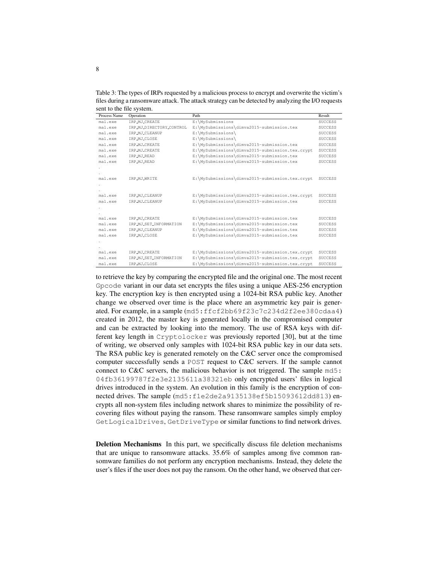<span id="page-7-0"></span>Table 3: The types of IRPs requested by a malicious process to encrypt and overwrite the victim's files during a ransomware attack. The attack strategy can be detected by analyzing the I/O requests sent to the file system.

| Process Name | Operation                | Path                                            | Result         |
|--------------|--------------------------|-------------------------------------------------|----------------|
| mal.exe      | IRP_MJ_CREATE            | E:\MySubmissions                                | <b>SUCCESS</b> |
| mal.exe      | IRP_MJ_DIRECTORY_CONTROL | E:\MySubmissions\dimva2015-submission.tex       | <b>SUCCESS</b> |
| mal.exe      | IRP_MJ_CLEANUP           | E:\MySubmissions\                               | <b>SUCCESS</b> |
| mal.exe      | TRP MJ CLOSE             | E:\MySubmissions\                               | <b>SUCCESS</b> |
| mal.exe      | IRP_MJ_CREATE            | E:\MySubmissions\dimva2015-submission.tex       | <b>SUCCESS</b> |
| mal.exe      | TRP_MJ_CREATE            | E:\MySubmissions\dimva2015-submission.tex.crypt | <b>SUCCESS</b> |
| mal.exe      | IRP_MJ_READ              | E:\MySubmissions\dimva2015-submission.tex       | <b>SUCCESS</b> |
| mal.exe      | IRP_MJ_READ              | E:\MySubmissions\dimva2015-submission.tex       | <b>SUCCESS</b> |
|              |                          |                                                 |                |
|              |                          |                                                 |                |
| mal.exe      | IRP_MJ_WRITE             | E:\MySubmissions\dimva2015-submission.tex.crypt | <b>SUCCESS</b> |
|              |                          |                                                 |                |
|              |                          |                                                 |                |
| mal.exe      | TRP_MJ_CLEANUP           | E:\MySubmissions\dimva2015-submission.tex.crypt | <b>SUCCESS</b> |
| mal.exe      | IRP_MJ_CLEANUP           | E:\MySubmissions\dimva2015-submission.tex       | <b>SUCCESS</b> |
|              |                          |                                                 |                |
|              |                          |                                                 |                |
| mal.exe      | TRP_MJ_CREATE            | E:\MySubmissions\dimva2015-submission.tex       | <b>SUCCESS</b> |
| mal.exe      | IRP_MJ_SET_INFORMATION   | E:\MySubmissions\dimva2015-submission.tex       | <b>SUCCESS</b> |
| mal.exe      | IRP_MJ_CLEANUP           | E:\MySubmissions\dimva2015-submission.tex       | <b>SUCCESS</b> |
| mal.exe      | IRP_MJ_CLOSE             | E:\MySubmissions\dimva2015-submission.tex       | <b>SUCCESS</b> |
|              |                          |                                                 |                |
|              |                          |                                                 |                |
| mal.exe      | IRP_MJ_CREATE            | E:\MySubmissions\dimva2015-submission.tex.crypt | <b>SUCCESS</b> |
| mal.exe      | IRP_MJ_SET_INFORMATION   | E:\MySubmissions\dimva2015-submission.tex.crypt | <b>SUCCESS</b> |
| mal.exe      | IRP_MJ_CLOSE             | E:\MySubmissions\dimva2015-submission.tex.crypt | <b>SUCCESS</b> |

to retrieve the key by comparing the encrypted file and the original one. The most recent Gpcode variant in our data set encrypts the files using a unique AES-256 encryption key. The encryption key is then encrypted using a 1024-bit RSA public key. Another change we observed over time is the place where an asymmetric key pair is generated. For example, in a sample (<md5:ffcf2bb69f23c7c234d2f2ee380cdaa4>) created in 2012, the master key is generated locally in the compromised computer and can be extracted by looking into the memory. The use of RSA keys with different key length in Cryptolocker was previously reported [\[30](#page-19-1)], but at the time of writing, we observed only samples with 1024-bit RSA public key in our data sets. The RSA public key is generated remotely on the C&C server once the compromised computer successfully sends a POST request to C&C servers. If the sample cannot connect to C&C servers, the malicious behavior is not triggered. The sample [md5:](md5:04fb36199787f2e3e2135611a38321eb) [04fb36199787f2e3e2135611a38321eb](md5:04fb36199787f2e3e2135611a38321eb) only encrypted users' files in logical drives introduced in the system. An evolution in this family is the encryption of connected drives. The sample ([md5:f1e2de2a9135138ef5b15093612dd813](md5: f1e2de2a9135138ef5b15093612dd813)) encrypts all non-system files including network shares to minimize the possibility of recovering files without paying the ransom. These ransomware samples simply employ GetLogicalDrives, GetDriveType or similar functions to find network drives.

Deletion Mechanisms In this part, we specifically discuss file deletion mechanisms that are unique to ransomware attacks. 35.6% of samples among five common ransomware families do not perform any encryption mechanisms. Instead, they delete the user's files if the user does not pay the ransom. On the other hand, we observed that cer-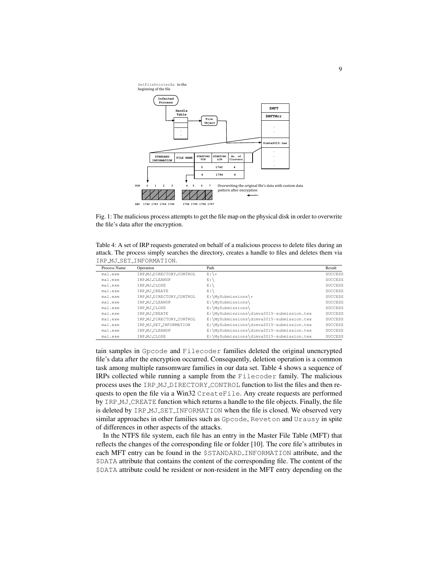<span id="page-8-0"></span>

Fig. 1: The malicious process attempts to get the file map on the physical disk in order to overwrite the file's data after the encryption.

<span id="page-8-1"></span>Table 4: A set of IRP requests generated on behalf of a malicious process to delete files during an attack. The process simply searches the directory, creates a handle to files and deletes them via IRP MJ SET INFORMATION.

| Process Name | Operation                | Path                                      | Result         |
|--------------|--------------------------|-------------------------------------------|----------------|
| mal.exe      | IRP_MJ_DIRECTORY_CONTROL | $E:\backslash *$                          | <b>SUCCESS</b> |
| mal.exe      | IRP_MJ_CLEANUP           | E:\                                       | <b>SUCCESS</b> |
| mal.exe      | IRP_MJ_CLOSE             | E:                                        | <b>SUCCESS</b> |
| mal.exe      | IRP_MJ_CREATE            | E:\                                       | <b>SUCCESS</b> |
| mal.exe      | IRP_MJ_DIRECTORY_CONTROL | $E:\MySubmissions\*$                      | <b>SUCCESS</b> |
| mal.exe      | IRP_MJ_CLEANUP           | E:\MySubmissions\                         | <b>SUCCESS</b> |
| mal.exe      | IRP_MJ_CLOSE             | E:\MySubmissions\                         | <b>SUCCESS</b> |
| mal.exe      | IRP_MJ_CREATE            | E:\MySubmissions\dimva2015-submission.tex | <b>SUCCESS</b> |
| mal.exe      | IRP_MJ_DIRECTORY_CONTROL | E:\MySubmissions\dimva2015-submission.tex | <b>SUCCESS</b> |
| mal.exe      | TRP_MJ_SET_TNFORMATION   | E:\MySubmissions\dimva2015-submission.tex | <b>SUCCESS</b> |
| mal.exe      | IRP_MJ_CLEANUP           | E:\MySubmissions\dimva2015-submission.tex | <b>SUCCESS</b> |
| mal.exe      | IRP_MJ_CLOSE             | E:\MySubmissions\dimva2015-submission.tex | <b>SUCCESS</b> |

tain samples in Gpcode and Filecoder families deleted the original unencrypted file's data after the encryption occurred. Consequently, deletion operation is a common task among multiple ransomware families in our data set. Table [4](#page-8-1) shows a sequence of IRPs collected while running a sample from the Filecoder family. The malicious process uses the IRP MJ DIRECTORY CONTROL function to list the files and then requests to open the file via a Win32 CreateFile. Any create requests are performed by IRP MJ CREATE function which returns a handle to the file objects. Finally, the file is deleted by IRP MJ SET INFORMATION when the file is closed. We observed very similar approaches in other families such as Gpcode, Reveton and Urausy in spite of differences in other aspects of the attacks.

In the NTFS file system, each file has an entry in the Master File Table (MFT) that reflects the changes of the corresponding file or folder [[10\]](#page-18-11). The core file's attributes in each MFT entry can be found in the \$STANDARD INFORMATION attribute, and the \$DATA attribute that contains the content of the corresponding file. The content of the \$DATA attribute could be resident or non-resident in the MFT entry depending on the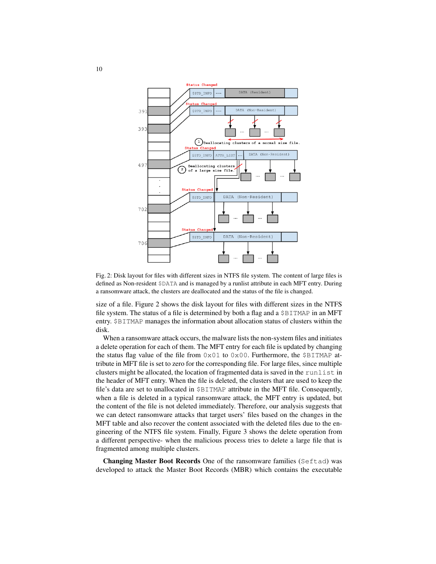<span id="page-9-0"></span>

Fig. 2: Disk layout for files with different sizes in NTFS file system. The content of large files is defined as Non-resident \$DATA and is managed by a runlist attribute in each MFT entry. During a ransomware attack, the clusters are deallocated and the status of the file is changed.

size of a file. Figure [2](#page-9-0) shows the disk layout for files with different sizes in the NTFS file system. The status of a file is determined by both a flag and a \$BITMAP in an MFT entry. \$BITMAP manages the information about allocation status of clusters within the disk.

When a ransomware attack occurs, the malware lists the non-system files and initiates a delete operation for each of them. The MFT entry for each file is updated by changing the status flag value of the file from  $0 \times 01$  to  $0 \times 00$ . Furthermore, the \$BITMAP attribute in MFT file is set to zero for the corresponding file. For large files, since multiple clusters might be allocated, the location of fragmented data is saved in the runlist in the header of MFT entry. When the file is deleted, the clusters that are used to keep the file's data are set to unallocated in \$BITMAP attribute in the MFT file. Consequently, when a file is deleted in a typical ransomware attack, the MFT entry is updated, but the content of the file is not deleted immediately. Therefore, our analysis suggests that we can detect ransomware attacks that target users' files based on the changes in the MFT table and also recover the content associated with the deleted files due to the engineering of the NTFS file system. Finally, Figure [3](#page-10-1) shows the delete operation from a different perspective- when the malicious process tries to delete a large file that is fragmented among multiple clusters.

Changing Master Boot Records One of the ransomware families (Seftad) was developed to attack the Master Boot Records (MBR) which contains the executable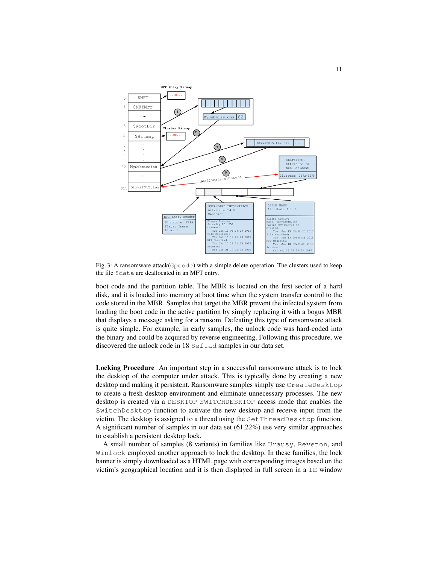<span id="page-10-1"></span>

Fig. 3: A ransomware attack(Gpcode) with a simple delete operation. The clusters used to keep the file \$data are deallocated in an MFT entry.

boot code and the partition table. The MBR is located on the first sector of a hard disk, and it is loaded into memory at boot time when the system transfer control to the code stored in the MBR. Samples that target the MBR prevent the infected system from loading the boot code in the active partition by simply replacing it with a bogus MBR that displays a message asking for a ransom. Defeating this type of ransomware attack is quite simple. For example, in early samples, the unlock code was hard-coded into the binary and could be acquired by reverse engineering. Following this procedure, we discovered the unlock code in 18 Seftad samples in our data set.

<span id="page-10-0"></span>Locking Procedure An important step in a successful ransomware attack is to lock the desktop of the computer under attack. This is typically done by creating a new desktop and making it persistent. Ransomware samples simply use CreateDesktop to create a fresh desktop environment and eliminate unnecessary processes. The new desktop is created via a DESKTOP SWITCHDESKTOP access mode that enables the SwitchDesktop function to activate the new desktop and receive input from the victim. The desktop is assigned to a thread using the SetThreadDesktop function. A significant number of samples in our data set (61.22%) use very similar approaches to establish a persistent desktop lock.

A small number of samples (8 variants) in families like Urausy, Reveton, and Winlock employed another approach to lock the desktop. In these families, the lock banner is simply downloaded as a HTML page with corresponding images based on the victim's geographical location and it is then displayed in full screen in a IE window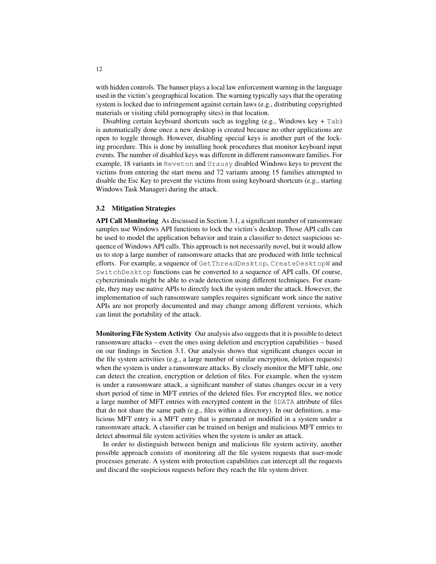with hidden controls. The banner plays a local law enforcement warning in the language used in the victim's geographical location. The warning typically says that the operating system is locked due to infringement against certain laws (e.g., distributing copyrighted materials or visiting child pornography sites) in that location.

Disabling certain keyboard shortcuts such as toggling (e.g., Windows key + Tab) is automatically done once a new desktop is created because no other applications are open to toggle through. However, disabling special keys is another part of the locking procedure. This is done by installing hook procedures that monitor keyboard input events. The number of disabled keys was different in different ransomware families. For example, 18 variants in Reveton and Urausy disabled Windows keys to prevent the victims from entering the start menu and 72 variants among 15 families attempted to disable the Esc Key to prevent the victims from using keyboard shortcuts (e.g., starting Windows Task Manager) during the attack.

### 3.2 Mitigation Strategies

API Call Monitoring As discussed in Section [3.1](#page-10-0), a significant number of ransomware samples use Windows API functions to lock the victim's desktop. Those API calls can be used to model the application behavior and train a classifier to detect suspicious sequence of Windows API calls. This approach is not necessarily novel, but it would allow us to stop a large number of ransomware attacks that are produced with little technical efforts. For example, a sequence of GetThreadDesktop, CreateDesktopW and SwitchDesktop functions can be converted to a sequence of API calls. Of course, cybercriminals might be able to evade detection using different techniques. For example, they may use native APIs to directly lock the system under the attack. However, the implementation of such ransomware samples requires significant work since the native APIs are not properly documented and may change among different versions, which can limit the portability of the attack.

Monitoring File System Activity Our analysis also suggests that it is possible to detect ransomware attacks – even the ones using deletion and encryption capabilities – based on our findings in Section [3.1](#page-4-1). Our analysis shows that significant changes occur in the file system activities (e.g., a large number of similar encryption, deletion requests) when the system is under a ransomware attacks. By closely monitor the MFT table, one can detect the creation, encryption or deletion of files. For example, when the system is under a ransomware attack, a significant number of status changes occur in a very short period of time in MFT entries of the deleted files. For encrypted files, we notice a large number of MFT entries with encrypted content in the \$DATA attribute of files that do not share the same path (e.g., files within a directory). In our definition, a malicious MFT entry is a MFT entry that is generated or modified in a system under a ransomware attack. A classifier can be trained on benign and malicious MFT entries to detect abnormal file system activities when the system is under an attack.

In order to distinguish between benign and malicious file system activity, another possible approach consists of monitoring all the file system requests that user-mode processes generate. A system with protection capabilities can intercept all the requests and discard the suspicious requests before they reach the file system driver.

12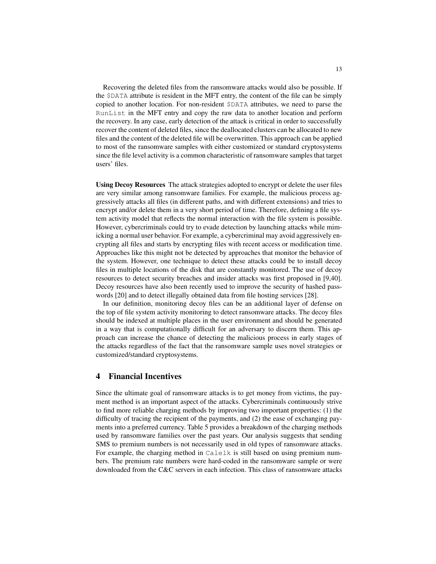Recovering the deleted files from the ransomware attacks would also be possible. If the \$DATA attribute is resident in the MFT entry, the content of the file can be simply copied to another location. For non-resident \$DATA attributes, we need to parse the RunList in the MFT entry and copy the raw data to another location and perform the recovery. In any case, early detection of the attack is critical in order to successfully recover the content of deleted files, since the deallocated clusters can be allocated to new files and the content of the deleted file will be overwritten. This approach can be applied to most of the ransomware samples with either customized or standard cryptosystems since the file level activity is a common characteristic of ransomware samples that target users' files.

Using Decoy Resources The attack strategies adopted to encrypt or delete the user files are very similar among ransomware families. For example, the malicious process aggressively attacks all files (in different paths, and with different extensions) and tries to encrypt and/or delete them in a very short period of time. Therefore, defining a file system activity model that reflects the normal interaction with the file system is possible. However, cybercriminals could try to evade detection by launching attacks while mimicking a normal user behavior. For example, a cybercriminal may avoid aggressively encrypting all files and starts by encrypting files with recent access or modification time. Approaches like this might not be detected by approaches that monitor the behavior of the system. However, one technique to detect these attacks could be to install decoy files in multiple locations of the disk that are constantly monitored. The use of decoy resources to detect security breaches and insider attacks was first proposed in [\[9](#page-18-12),[40\]](#page-19-4). Decoy resources have also been recently used to improve the security of hashed passwords [[20\]](#page-18-13) and to detect illegally obtained data from file hosting services [[28\]](#page-19-5).

In our definition, monitoring decoy files can be an additional layer of defense on the top of file system activity monitoring to detect ransomware attacks. The decoy files should be indexed at multiple places in the user environment and should be generated in a way that is computationally difficult for an adversary to discern them. This approach can increase the chance of detecting the malicious process in early stages of the attacks regardless of the fact that the ransomware sample uses novel strategies or customized/standard cryptosystems.

# <span id="page-12-0"></span>4 Financial Incentives

Since the ultimate goal of ransomware attacks is to get money from victims, the payment method is an important aspect of the attacks. Cybercriminals continuously strive to find more reliable charging methods by improving two important properties: (1) the difficulty of tracing the recipient of the payments, and (2) the ease of exchanging payments into a preferred currency. Table [5](#page-13-0) provides a breakdown of the charging methods used by ransomware families over the past years. Our analysis suggests that sending SMS to premium numbers is not necessarily used in old types of ransomware attacks. For example, the charging method in Calelk is still based on using premium numbers. The premium rate numbers were hard-coded in the ransomware sample or were downloaded from the C&C servers in each infection. This class of ransomware attacks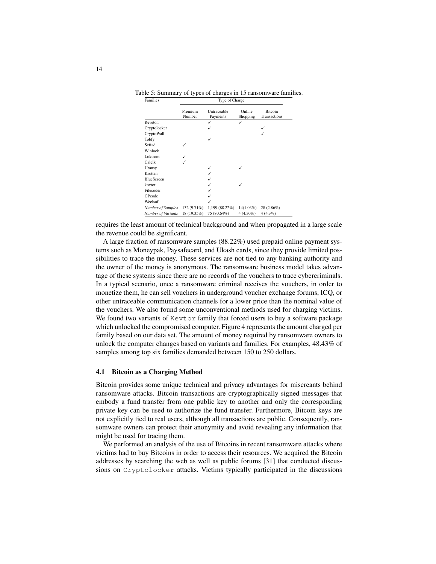|                    | Premium<br>Number | Untraceable<br>Payments | Online<br>Shopping | Bitcoin<br>Transactions |
|--------------------|-------------------|-------------------------|--------------------|-------------------------|
| Reveton            |                   | √                       | ✓                  |                         |
| Cryptolocker       |                   |                         |                    |                         |
| CryptoWall         |                   |                         |                    |                         |
| Tobfy              |                   | √                       |                    |                         |
| Seftad             |                   |                         |                    |                         |
| Winlock            |                   |                         |                    |                         |
| Loktrom            |                   |                         |                    |                         |
| Calelk             |                   |                         |                    |                         |
| Urausy             |                   | √                       |                    |                         |
| Krotten            |                   |                         |                    |                         |
| <b>BlueScreen</b>  |                   |                         |                    |                         |
| kovter             |                   |                         |                    |                         |
| Filecoder          |                   |                         |                    |                         |
| GPcode             |                   | √                       |                    |                         |
| Weelsof            |                   |                         |                    |                         |
| Number of Samples  | 132 (9.71%)       | 1,199 (88.22%)          | $14(1.03\%)$       | 28 (2.86%)              |
| Number of Variants | 18 (19.35%)       | 75 (80.64%)             | $4(4.30\%)$        | 4(4.3%)                 |

<span id="page-13-0"></span>

|          | Table 5: Summary of types of charges in 15 ransomware families. |
|----------|-----------------------------------------------------------------|
| Families | Type of Charge                                                  |

requires the least amount of technical background and when propagated in a large scale the revenue could be significant.

A large fraction of ransomware samples (88.22%) used prepaid online payment systems such as Moneypak, Paysafecard, and Ukash cards, since they provide limited possibilities to trace the money. These services are not tied to any banking authority and the owner of the money is anonymous. The ransomware business model takes advantage of these systems since there are no records of the vouchers to trace cybercriminals. In a typical scenario, once a ransomware criminal receives the vouchers, in order to monetize them, he can sell vouchers in underground voucher exchange forums, ICQ, or other untraceable communication channels for a lower price than the nominal value of the vouchers. We also found some unconventional methods used for charging victims. We found two variants of Kevtor family that forced users to buy a software package which unlocked the compromised computer. Figure [4](#page-14-0) represents the amount charged per family based on our data set. The amount of money required by ransomware owners to unlock the computer changes based on variants and families. For examples, 48.43% of samples among top six families demanded between 150 to 250 dollars.

### 4.1 Bitcoin as a Charging Method

Bitcoin provides some unique technical and privacy advantages for miscreants behind ransomware attacks. Bitcoin transactions are cryptographically signed messages that embody a fund transfer from one public key to another and only the corresponding private key can be used to authorize the fund transfer. Furthermore, Bitcoin keys are not explicitly tied to real users, although all transactions are public. Consequently, ransomware owners can protect their anonymity and avoid revealing any information that might be used for tracing them.

We performed an analysis of the use of Bitcoins in recent ransomware attacks where victims had to buy Bitcoins in order to access their resources. We acquired the Bitcoin addresses by searching the web as well as public forums [\[31](#page-19-6)] that conducted discussions on Cryptolocker attacks. Victims typically participated in the discussions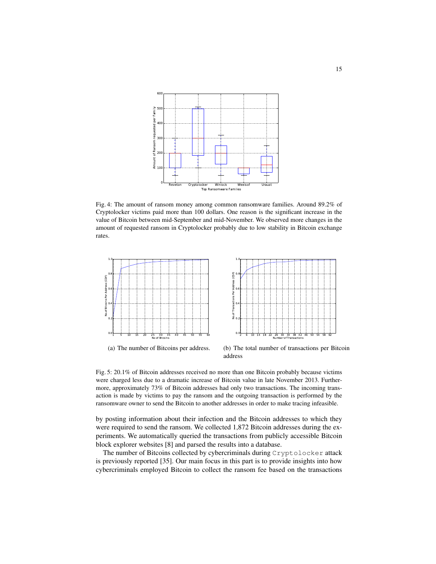<span id="page-14-0"></span>

Fig. 4: The amount of ransom money among common ransomware families. Around 89.2% of Cryptolocker victims paid more than 100 dollars. One reason is the significant increase in the value of Bitcoin between mid-September and mid-November. We observed more changes in the amount of requested ransom in Cryptolocker probably due to low stability in Bitcoin exchange rates.

<span id="page-14-1"></span>

<span id="page-14-2"></span>Fig. 5: 20.1% of Bitcoin addresses received no more than one Bitcoin probably because victims were charged less due to a dramatic increase of Bitcoin value in late November 2013. Furthermore, approximately 73% of Bitcoin addresses had only two transactions. The incoming transaction is made by victims to pay the ransom and the outgoing transaction is performed by the ransomware owner to send the Bitcoin to another addresses in order to make tracing infeasible.

by posting information about their infection and the Bitcoin addresses to which they were required to send the ransom. We collected 1,872 Bitcoin addresses during the experiments. We automatically queried the transactions from publicly accessible Bitcoin block explorer websites [\[8](#page-18-14)] and parsed the results into a database.

The number of Bitcoins collected by cybercriminals during Cryptolocker attack is previously reported [\[35](#page-19-7)]. Our main focus in this part is to provide insights into how cybercriminals employed Bitcoin to collect the ransom fee based on the transactions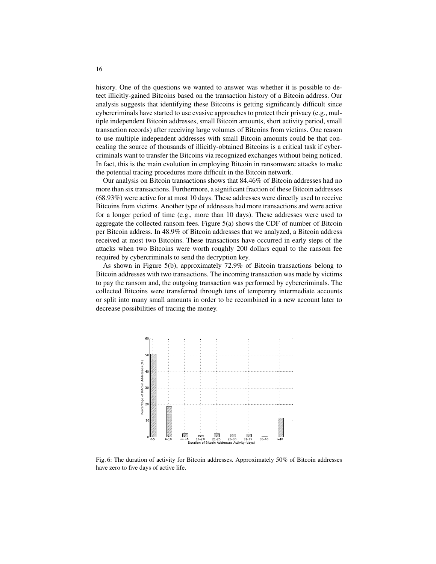history. One of the questions we wanted to answer was whether it is possible to detect illicitly-gained Bitcoins based on the transaction history of a Bitcoin address. Our analysis suggests that identifying these Bitcoins is getting significantly difficult since cybercriminals have started to use evasive approaches to protect their privacy (e.g., multiple independent Bitcoin addresses, small Bitcoin amounts, short activity period, small transaction records) after receiving large volumes of Bitcoins from victims. One reason to use multiple independent addresses with small Bitcoin amounts could be that concealing the source of thousands of illicitly-obtained Bitcoins is a critical task if cybercriminals want to transfer the Bitcoins via recognized exchanges without being noticed. In fact, this is the main evolution in employing Bitcoin in ransomware attacks to make the potential tracing procedures more difficult in the Bitcoin network.

Our analysis on Bitcoin transactions shows that 84.46% of Bitcoin addresses had no more than six transactions. Furthermore, a significant fraction of these Bitcoin addresses (68.93%) were active for at most 10 days. These addresses were directly used to receive Bitcoins from victims. Another type of addresses had more transactions and were active for a longer period of time (e.g., more than 10 days). These addresses were used to aggregate the collected ransom fees. Figure [5\(a\)](#page-14-1) shows the CDF of number of Bitcoin per Bitcoin address. In 48.9% of Bitcoin addresses that we analyzed, a Bitcoin address received at most two Bitcoins. These transactions have occurred in early steps of the attacks when two Bitcoins were worth roughly 200 dollars equal to the ransom fee required by cybercriminals to send the decryption key.

As shown in Figure [5\(b\)](#page-14-2), approximately 72.9% of Bitcoin transactions belong to Bitcoin addresses with two transactions. The incoming transaction was made by victims to pay the ransom and, the outgoing transaction was performed by cybercriminals. The collected Bitcoins were transferred through tens of temporary intermediate accounts or split into many small amounts in order to be recombined in a new account later to decrease possibilities of tracing the money.

<span id="page-15-0"></span>

Fig. 6: The duration of activity for Bitcoin addresses. Approximately 50% of Bitcoin addresses have zero to five days of active life.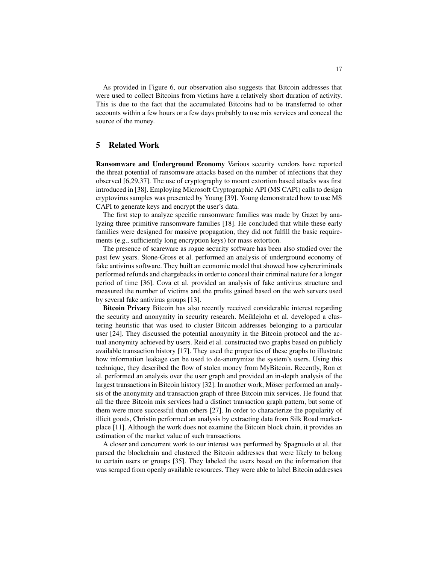As provided in Figure [6,](#page-15-0) our observation also suggests that Bitcoin addresses that were used to collect Bitcoins from victims have a relatively short duration of activity. This is due to the fact that the accumulated Bitcoins had to be transferred to other accounts within a few hours or a few days probably to use mix services and conceal the source of the money.

# <span id="page-16-0"></span>5 Related Work

Ransomware and Underground Economy Various security vendors have reported the threat potential of ransomware attacks based on the number of infections that they observed [\[6](#page-17-6),[29](#page-19-8)[,37](#page-19-0)]. The use of cryptography to mount extortion based attacks was first introduced in [[38\]](#page-19-9). Employing Microsoft Cryptographic API (MS CAPI) calls to design cryptovirus samples was presented by Young [[39\]](#page-19-10). Young demonstrated how to use MS CAPI to generate keys and encrypt the user's data.

The first step to analyze specific ransomware families was made by Gazet by analyzing three primitive ransomware families [[18\]](#page-18-15). He concluded that while these early families were designed for massive propagation, they did not fulfill the basic requirements (e.g., sufficiently long encryption keys) for mass extortion.

The presence of scareware as rogue security software has been also studied over the past few years. Stone-Gross et al. performed an analysis of underground economy of fake antivirus software. They built an economic model that showed how cybercriminals performed refunds and chargebacks in order to conceal their criminal nature for a longer period of time [[36\]](#page-19-11). Cova et al. provided an analysis of fake antivirus structure and measured the number of victims and the profits gained based on the web servers used by several fake antivirus groups [[13\]](#page-18-16).

Bitcoin Privacy Bitcoin has also recently received considerable interest regarding the security and anonymity in security research. Meiklejohn et al. developed a clustering heuristic that was used to cluster Bitcoin addresses belonging to a particular user [[24\]](#page-18-17). They discussed the potential anonymity in the Bitcoin protocol and the actual anonymity achieved by users. Reid et al. constructed two graphs based on publicly available transaction history [[17\]](#page-18-18). They used the properties of these graphs to illustrate how information leakage can be used to de-anonymize the system's users. Using this technique, they described the flow of stolen money from MyBitcoin. Recently, Ron et al. performed an analysis over the user graph and provided an in-depth analysis of the largest transactions in Bitcoin history [[32](#page-19-12)]. In another work, Möser performed an analysis of the anonymity and transaction graph of three Bitcoin mix services. He found that all the three Bitcoin mix services had a distinct transaction graph pattern, but some of them were more successful than others [[27\]](#page-19-13). In order to characterize the popularity of illicit goods, Christin performed an analysis by extracting data from Silk Road marketplace [[11\]](#page-18-19). Although the work does not examine the Bitcoin block chain, it provides an estimation of the market value of such transactions.

A closer and concurrent work to our interest was performed by Spagnuolo et al. that parsed the blockchain and clustered the Bitcoin addresses that were likely to belong to certain users or groups [[35\]](#page-19-7). They labeled the users based on the information that was scraped from openly available resources. They were able to label Bitcoin addresses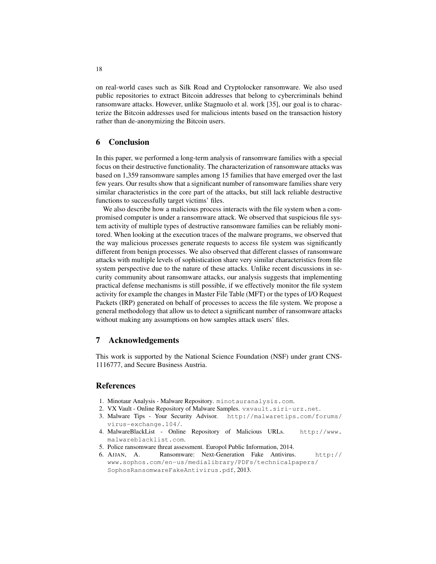on real-world cases such as Silk Road and Cryptolocker ransomware. We also used public repositories to extract Bitcoin addresses that belong to cybercriminals behind ransomware attacks. However, unlike Stagnuolo et al. work [[35\]](#page-19-7), our goal is to characterize the Bitcoin addresses used for malicious intents based on the transaction history rather than de-anonymizing the Bitcoin users.

## <span id="page-17-1"></span>6 Conclusion

In this paper, we performed a long-term analysis of ransomware families with a special focus on their destructive functionality. The characterization of ransomware attacks was based on 1,359 ransomware samples among 15 families that have emerged over the last few years. Our results show that a significant number of ransomware families share very similar characteristics in the core part of the attacks, but still lack reliable destructive functions to successfully target victims' files.

We also describe how a malicious process interacts with the file system when a compromised computer is under a ransomware attack. We observed that suspicious file system activity of multiple types of destructive ransomware families can be reliably monitored. When looking at the execution traces of the malware programs, we observed that the way malicious processes generate requests to access file system was significantly different from benign processes. We also observed that different classes of ransomware attacks with multiple levels of sophistication share very similar characteristics from file system perspective due to the nature of these attacks. Unlike recent discussions in security community about ransomware attacks, our analysis suggests that implementing practical defense mechanisms is still possible, if we effectively monitor the file system activity for example the changes in Master File Table (MFT) or the types of I/O Request Packets (IRP) generated on behalf of processes to access the file system. We propose a general methodology that allow us to detect a significant number of ransomware attacks without making any assumptions on how samples attack users' files.

# 7 Acknowledgements

This work is supported by the National Science Foundation (NSF) under grant CNS-1116777, and Secure Business Austria.

# References

- <span id="page-17-4"></span>1. Minotaur Analysis - Malware Repository. <minotauranalysis.com>.
- <span id="page-17-3"></span>2. VX Vault - Online Repository of Malware Samples. <vxvault.siri-urz.net>.
- <span id="page-17-5"></span>3. Malware Tips - Your Security Advisor. [http://malwaretips.com/forums/](http://malwaretips.com/forums/virus-exchange.104/) [virus-exchange.104/](http://malwaretips.com/forums/virus-exchange.104/).
- <span id="page-17-2"></span>4. MalwareBlackList - Online Repository of Malicious URLs. [http://www.](http://www.malwareblacklist.com) [malwareblacklist.com](http://www.malwareblacklist.com).
- <span id="page-17-0"></span>5. Police ransomware threat assessment. Europol Public Information, 2014.
- <span id="page-17-6"></span>6. AJJAN, A. Ransomware: Next-Generation Fake Antivirus. [http://](http://www.sophos.com/en-us/medialibrary/PDFs/technical papers/SophosRansomwareFakeAntivirus.pdf) [www.sophos.com/en-us/medialibrary/PDFs/technicalpapers/](http://www.sophos.com/en-us/medialibrary/PDFs/technical papers/SophosRansomwareFakeAntivirus.pdf) [SophosRansomwareFakeAntivirus.pdf](http://www.sophos.com/en-us/medialibrary/PDFs/technical papers/SophosRansomwareFakeAntivirus.pdf), 2013.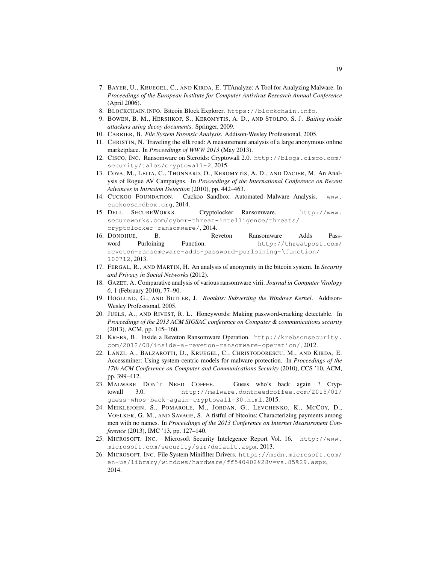- <span id="page-18-2"></span>7. BAYER, U., KRUEGEL, C., AND KIRDA, E. TTAnalyze: A Tool for Analyzing Malware. In *Proceedings of the European Institute for Computer Antivirus Research Annual Conference* (April 2006).
- <span id="page-18-14"></span>8. BLOCKCHAIN.INFO. Bitcoin Block Explorer. <https://blockchain.info>.
- <span id="page-18-12"></span>9. BOWEN, B. M., HERSHKOP, S., KEROMYTIS, A. D., AND STOLFO, S. J. *Baiting inside attackers using decoy documents*. Springer, 2009.
- <span id="page-18-11"></span>10. CARRIER, B. *File System Forensic Analysis*. Addison-Wesley Professional, 2005.
- <span id="page-18-19"></span>11. CHRISTIN, N. Traveling the silk road: A measurement analysis of a large anonymous online marketplace. In *Proceedings of WWW 2013* (May 2013).
- <span id="page-18-1"></span>12. CISCO, INC. Ransomware on Steroids: Cryptowall 2.0. [http://blogs.cisco.com/](http://blogs.cisco.com/security/talos/cryptowall-2) [security/talos/cryptowall-2](http://blogs.cisco.com/security/talos/cryptowall-2), 2015.
- <span id="page-18-16"></span>13. COVA, M., LEITA, C., THONNARD, O., KEROMYTIS, A. D., AND DACIER, M. An Analysis of Rogue AV Campaigns. In *Proceedings of the International Conference on Recent Advances in Intrusion Detection* (2010), pp. 442–463.
- <span id="page-18-7"></span>14. CUCKOO FOUNDATION. Cuckoo Sandbox: Automated Malware Analysis. [www.](www.cuckoosandbox.org) [cuckoosandbox.org](www.cuckoosandbox.org), 2014.
- <span id="page-18-0"></span>15. DELL SECUREWORKS. Cryptolocker Ransomware. [http://www.](http://www.secureworks.com/cyber-threat-intelligence/threats/cryptolocker-ransomware/) [secureworks.com/cyber-threat-intelligence/threats/](http://www.secureworks.com/cyber-threat-intelligence/threats/cryptolocker-ransomware/) [cryptolocker-ransomware/](http://www.secureworks.com/cyber-threat-intelligence/threats/cryptolocker-ransomware/), 2014.
- <span id="page-18-5"></span>16. DONOHUE, B. Reveton Ransomware Adds Password Purloining Function. [http://threatpost.com/](http://threatpost.com/reveton-ransomeware-adds-password-purloining-\function/100712) [reveton-ransomeware-adds-password-purloining-\function/](http://threatpost.com/reveton-ransomeware-adds-password-purloining-\function/100712) [100712](http://threatpost.com/reveton-ransomeware-adds-password-purloining-\function/100712), 2013.
- <span id="page-18-18"></span>17. FERGAL, R., AND MARTIN, H. An analysis of anonymity in the bitcoin system. In *Security and Privacy in Social Networks* (2012).
- <span id="page-18-15"></span>18. GAZET, A. Comparative analysis of various ransomware virii. *Journal in Computer Virology 6*, 1 (February 2010), 77–90.
- <span id="page-18-8"></span>19. HOGLUND, G., AND BUTLER, J. *Rootkits: Subverting the Windows Kernel*. Addison-Wesley Professional, 2005.
- <span id="page-18-13"></span>20. JUELS, A., AND RIVEST, R. L. Honeywords: Making password-cracking detectable. In *Proceedings of the 2013 ACM SIGSAC conference on Computer & communications security* (2013), ACM, pp. 145–160.
- <span id="page-18-6"></span>21. KREBS, B. Inside a Reveton Ransomware Operation. [http://krebsonsecurity.](http://krebsonsecurity.com/2012/08/inside-a-reveton-ransomware-operation/) [com/2012/08/inside-a-reveton-ransomware-operation/](http://krebsonsecurity.com/2012/08/inside-a-reveton-ransomware-operation/), 2012.
- <span id="page-18-9"></span>22. LANZI, A., BALZAROTTI, D., KRUEGEL, C., CHRISTODORESCU, M., AND KIRDA, E. Accessminer: Using system-centric models for malware protection. In *Proceedings of the 17th ACM Conference on Computer and Communications Security* (2010), CCS '10, ACM, pp. 399–412.
- <span id="page-18-4"></span>23. MALWARE DON'T NEED COFFEE. Guess who's back again ? Cryptowall 3.0. [http://malware.dontneedcoffee.com/2015/01/](http://malware.dontneedcoffee.com/2015/01/guess-whos-back-again-cryptowall-30.html) [guess-whos-back-again-cryptowall-30.html](http://malware.dontneedcoffee.com/2015/01/guess-whos-back-again-cryptowall-30.html), 2015.
- <span id="page-18-17"></span>24. MEIKLEJOHN, S., POMAROLE, M., JORDAN, G., LEVCHENKO, K., MCCOY, D., VOELKER, G. M., AND SAVAGE, S. A fistful of bitcoins: Characterizing payments among men with no names. In *Proceedings of the 2013 Conference on Internet Measurement Conference* (2013), IMC '13, pp. 127–140.
- <span id="page-18-3"></span>25. MICROSOFT, INC. Microsoft Security Intelegence Report Vol. 16. [http://www.](http://www.microsoft.com/security/sir/default.aspx) [microsoft.com/security/sir/default.aspx](http://www.microsoft.com/security/sir/default.aspx), 2013.
- <span id="page-18-10"></span>26. MICROSOFT, INC. File System Minifilter Drivers. [https://msdn.microsoft.com/](https://msdn.microsoft.com/en-us/library/windows/hardware/ff540402%28v=vs.85%29.aspx) [en-us/library/windows/hardware/ff540402%28v=vs.85%29.aspx](https://msdn.microsoft.com/en-us/library/windows/hardware/ff540402%28v=vs.85%29.aspx), 2014.